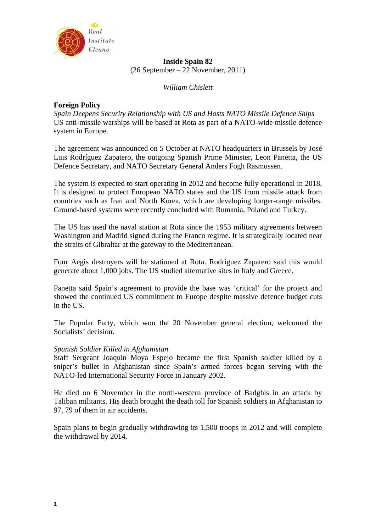

**Inside Spain 82**  (26 September – 22 November, 2011)

*William Chislett* 

## **Foreign Policy**

*Spain Deepens Security Relationship with US and Hosts NATO Missile Defence Ships*  US anti-missile warships will be based at Rota as part of a NATO-wide missile defence system in Europe.

The agreement was announced on 5 October at NATO headquarters in Brussels by José Luis Rodríguez Zapatero, the outgoing Spanish Prime Minister, Leon Panetta, the US Defence Secretary, and NATO Secretary General Anders Fogh Rasmussen.

The system is expected to start operating in 2012 and become fully operational in 2018. It is designed to protect European NATO states and the US from missile attack from countries such as Iran and North Korea, which are developing longer-range missiles. Ground-based systems were recently concluded with Rumania, Poland and Turkey.

The US has used the naval station at Rota since the 1953 military agreements between Washington and Madrid signed during the Franco regime. It is strategically located near the straits of Gibraltar at the gateway to the Mediterranean.

Four Aegis destroyers will be stationed at Rota. Rodríguez Zapatero said this would generate about 1,000 jobs. The US studied alternative sites in Italy and Greece.

Panetta said Spain's agreement to provide the base was 'critical' for the project and showed the continued US commitment to Europe despite massive defence budget cuts in the US.

The Popular Party, which won the 20 November general election, welcomed the Socialists' decision.

## *Spanish Soldier Killed in Afghanistan*

Staff Sergeant Joaquin Moya Espejo became the first Spanish soldier killed by a sniper's bullet in Afghanistan since Spain's armed forces began serving with the NATO-led International Security Force in January 2002.

He died on 6 November in the north-western province of Badghis in an attack by Taliban militants. His death brought the death toll for Spanish soldiers in Afghanistan to 97, 79 of them in air accidents.

Spain plans to begin gradually withdrawing its 1,500 troops in 2012 and will complete the withdrawal by 2014.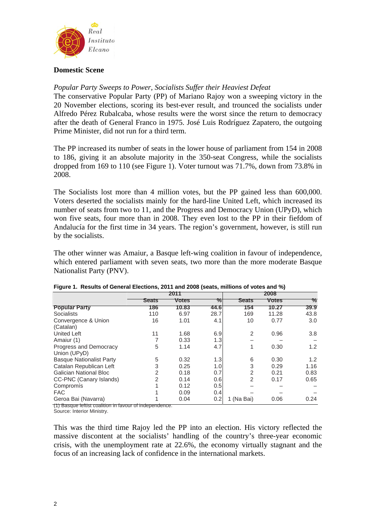

## **Domestic Scene**

## *Popular Party Sweeps to Power, Socialists Suffer their Heaviest Defeat*

The conservative Popular Party (PP) of Mariano Rajoy won a sweeping victory in the 20 November elections, scoring its best-ever result, and trounced the socialists under Alfredo Pérez Rubalcaba, whose results were the worst since the return to democracy after the death of General Franco in 1975. José Luis Rodríguez Zapatero, the outgoing Prime Minister, did not run for a third term.

The PP increased its number of seats in the lower house of parliament from 154 in 2008 to 186, giving it an absolute majority in the 350-seat Congress, while the socialists dropped from 169 to 110 (see Figure 1). Voter turnout was 71.7%, down from 73.8% in 2008.

The Socialists lost more than 4 million votes, but the PP gained less than 600,000. Voters deserted the socialists mainly for the hard-line United Left, which increased its number of seats from two to 11, and the Progress and Democracy Union (UPyD), which won five seats, four more than in 2008. They even lost to the PP in their fiefdom of Andalucía for the first time in 34 years. The region's government, however, is still run by the socialists.

The other winner was Amaiur, a Basque left-wing coalition in favour of independence, which entered parliament with seven seats, two more than the more moderate Basque Nationalist Party (PNV).

|                                 | 2011  |              | 2008 |                |              |      |
|---------------------------------|-------|--------------|------|----------------|--------------|------|
|                                 | Seats | <b>Votes</b> | $\%$ | <b>Seats</b>   | <b>Votes</b> | ℅    |
| <b>Popular Party</b>            | 186   | 10.83        | 44.6 | 154            | 10.27        | 39.9 |
| Socialists                      | 110   | 6.97         | 28.7 | 169            | 11.28        | 43.8 |
| Convergence & Union             | 16    | 1.01         | 4.1  | 10             | 0.77         | 3.0  |
| (Catalan)                       |       |              |      |                |              |      |
| <b>United Left</b>              | 11    | 1.68         | 6.9  | $\overline{2}$ | 0.96         | 3.8  |
| Amaiur (1)                      |       | 0.33         | 1.3  |                |              |      |
| Progress and Democracy          | 5     | 1.14         | 4.7  | 1              | 0.30         | 1.2  |
| Union (UPyD)                    |       |              |      |                |              |      |
| <b>Basque Nationalist Party</b> | 5     | 0.32         | 1.3  | 6              | 0.30         | 1.2  |
| Catalan Republican Left         | 3     | 0.25         | 1.0  | 3              | 0.29         | 1.16 |
| Galician National Bloc          | 2     | 0.18         | 0.7  | 2              | 0.21         | 0.83 |
| CC-PNC (Canary Islands)         | 2     | 0.14         | 0.6  | 2              | 0.17         | 0.65 |
| Compromís                       |       | 0.12         | 0.5  |                |              |      |
| <b>FAC</b>                      |       | 0.09         | 0.4  |                |              |      |
| Geroa Bai (Navarra)             |       | 0.04         | 0.2  | 1 (Na Bai)     | 0.06         | 0.24 |

#### **Figure 1. Results of General Elections, 2011 and 2008 (seats, millions of votes and %)**

(1) Basque leftist coalition in favour of independence.

Source: Interior Ministry.

This was the third time Rajoy led the PP into an election. His victory reflected the massive discontent at the socialists' handling of the country's three-year economic crisis, with the unemployment rate at 22.6%, the economy virtually stagnant and the focus of an increasing lack of confidence in the international markets.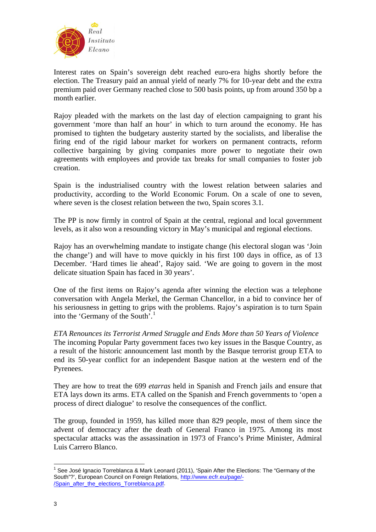

Interest rates on Spain's sovereign debt reached euro-era highs shortly before the election. The Treasury paid an annual yield of nearly 7% for 10-year debt and the extra premium paid over Germany reached close to 500 basis points, up from around 350 bp a month earlier.

Rajoy pleaded with the markets on the last day of election campaigning to grant his government 'more than half an hour' in which to turn around the economy. He has promised to tighten the budgetary austerity started by the socialists, and liberalise the firing end of the rigid labour market for workers on permanent contracts, reform collective bargaining by giving companies more power to negotiate their own agreements with employees and provide tax breaks for small companies to foster job creation.

Spain is the industrialised country with the lowest relation between salaries and productivity, according to the World Economic Forum. On a scale of one to seven, where seven is the closest relation between the two, Spain scores 3.1.

The PP is now firmly in control of Spain at the central, regional and local government levels, as it also won a resounding victory in May's municipal and regional elections.

Rajoy has an overwhelming mandate to instigate change (his electoral slogan was 'Join the change') and will have to move quickly in his first 100 days in office, as of 13 December. 'Hard times lie ahead', Rajoy said. 'We are going to govern in the most delicate situation Spain has faced in 30 years'.

One of the first items on Rajoy's agenda after winning the election was a telephone conversation with Angela Merkel, the German Chancellor, in a bid to convince her of his seriousness in getting to grips with the problems. Rajoy's aspiration is to turn Spain into the 'Germany of the South'.<sup>[1](#page-2-0)</sup>

*ETA Renounces its Terrorist Armed Struggle and Ends More than 50 Years of Violence*  The incoming Popular Party government faces two key issues in the Basque Country, as a result of the historic announcement last month by the Basque terrorist group ETA to end its 50-year conflict for an independent Basque nation at the western end of the Pyrenees.

They are how to treat the 699 *etarras* held in Spanish and French jails and ensure that ETA lays down its arms. ETA called on the Spanish and French governments to 'open a process of direct dialogue' to resolve the consequences of the conflict.

The group, founded in 1959, has killed more than 829 people, most of them since the advent of democracy after the death of General Franco in 1975. Among its most spectacular attacks was the assassination in 1973 of Franco's Prime Minister, Admiral Luis Carrero Blanco.

<span id="page-2-0"></span><sup>&</sup>lt;sup>1</sup> See José Ignacio Torreblanca & Mark Leonard (2011), 'Spain After the Elections: The "Germany of the South"?', European Council on Foreign Relations, [http://www.ecfr.eu/page/-](http://www.ecfr.eu/page/-/Spain_after_the_elections_Torreblanca.pdf) [/Spain\\_after\\_the\\_elections\\_Torreblanca.pdf.](http://www.ecfr.eu/page/-/Spain_after_the_elections_Torreblanca.pdf)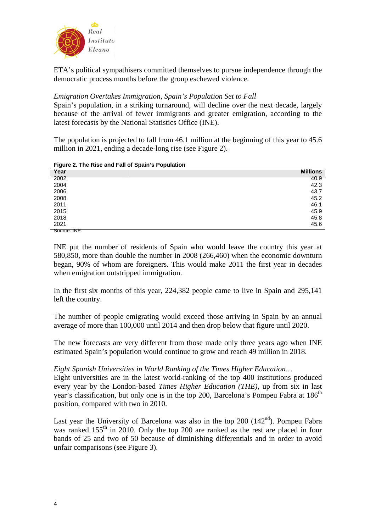

ETA's political sympathisers committed themselves to pursue independence through the democratic process months before the group eschewed violence.

# *Emigration Overtakes Immigration, Spain's Population Set to Fall*

Spain's population, in a striking turnaround, will decline over the next decade, largely because of the arrival of fewer immigrants and greater emigration, according to the latest forecasts by the National Statistics Office (INE).

The population is projected to fall from 46.1 million at the beginning of this year to 45.6 million in 2021, ending a decade-long rise (see Figure 2).

| $\cdot$<br>. |                 |
|--------------|-----------------|
| Year         | <b>Millions</b> |
| 2002         | 40.9            |
| 2004         | 42.3            |
| 2006         | 43.7            |
| 2008         | 45.2            |
| 2011         | 46.1            |
| 2015         | 45.9            |
| 2018         | 45.8            |
| 2021         | 45.6            |
| Source: INE. |                 |

#### **Figure 2. The Rise and Fall of Spain's Population**

INE put the number of residents of Spain who would leave the country this year at 580,850, more than double the number in 2008 (266,460) when the economic downturn began, 90% of whom are foreigners. This would make 2011 the first year in decades when emigration outstripped immigration.

In the first six months of this year, 224,382 people came to live in Spain and 295,141 left the country.

The number of people emigrating would exceed those arriving in Spain by an annual average of more than 100,000 until 2014 and then drop below that figure until 2020.

The new forecasts are very different from those made only three years ago when INE estimated Spain's population would continue to grow and reach 49 million in 2018.

## *Eight Spanish Universities in World Ranking of the Times Higher Education…*

Eight universities are in the latest world-ranking of the top 400 institutions produced every year by the London-based *Times Higher Education (THE)*, up from six in last year's classification, but only one is in the top 200, Barcelona's Pompeu Fabra at 186<sup>th</sup> position, compared with two in 2010.

Last year the University of Barcelona was also in the top  $200$  (142<sup>nd</sup>). Pompeu Fabra was ranked 155<sup>th</sup> in 2010. Only the top 200 are ranked as the rest are placed in four bands of 25 and two of 50 because of diminishing differentials and in order to avoid unfair comparisons (see Figure 3).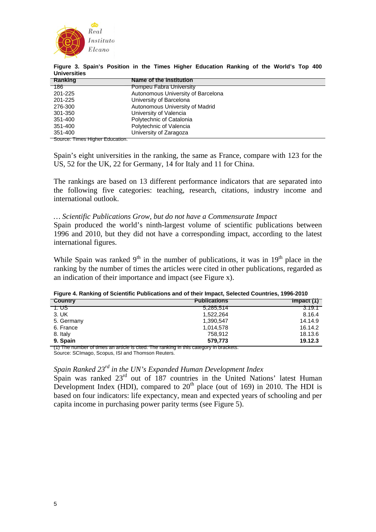

| Ranking | Name of the Institution            |  |
|---------|------------------------------------|--|
| 186     | <b>Pompeu Fabra University</b>     |  |
| 201-225 | Autonomous University of Barcelona |  |
| 201-225 | University of Barcelona            |  |
| 276-300 | Autonomous University of Madrid    |  |
| 301-350 | University of Valencia             |  |
| 351-400 | Polytechnic of Catalonia           |  |
| 351-400 | Polytechnic of Valencia            |  |
| 351-400 | University of Zaragoza             |  |
|         |                                    |  |

**Figure 3. Spain's Position in the Times Higher Education Ranking of the World's Top 400 Universities** 

Source: Times Higher Education.

Spain's eight universities in the ranking, the same as France, compare with 123 for the US, 52 for the UK, 22 for Germany, 14 for Italy and 11 for China.

The rankings are based on 13 different performance indicators that are separated into the following five categories: teaching, research, citations, industry income and international outlook.

### *… Scientific Publications Grow, but do not have a Commensurate Impact*

Spain produced the world's ninth-largest volume of scientific publications between 1996 and 2010, but they did not have a corresponding impact, according to the latest international figures.

While Spain was ranked  $9<sup>th</sup>$  in the number of publications, it was in  $19<sup>th</sup>$  place in the ranking by the number of times the articles were cited in other publications, regarded as an indication of their importance and impact (see Figure x).

| Figure 4. Natinity of Scientific Fubilizations and of their impact, Selected Countries, 1990-2010 |                                     |         |
|---------------------------------------------------------------------------------------------------|-------------------------------------|---------|
| <b>Country</b>                                                                                    | <b>Publications</b><br>$Im\phi$ (1) |         |
| 1. US                                                                                             | 5.285.514                           | 3.19.1  |
| 3. UK                                                                                             | 1.522.264                           | 8.16.4  |
| 5. Germany                                                                                        | 1.390.547                           | 14.14.9 |

6. France 1,014,578 16.14.2 8. Italy 18.13.6 **9. Spain 579,773 19.12.3** 

**Figure 4. Ranking of Scientific Publications and of their Impact, Selected Countries, 1996-2010** 

(1) The number of times an article is cited. The ranking in this category in brackets.

Source: SCImago, Scopus, ISI and Thomson Reuters.

## *Spain Ranked 23rd in the UN's Expanded Human Development Index*

Spain was ranked  $23<sup>rd</sup>$  out of 187 countries in the United Nations' latest Human Development Index (HDI), compared to  $20<sup>th</sup>$  place (out of 169) in 2010. The HDI is based on four indicators: life expectancy, mean and expected years of schooling and per capita income in purchasing power parity terms (see Figure 5).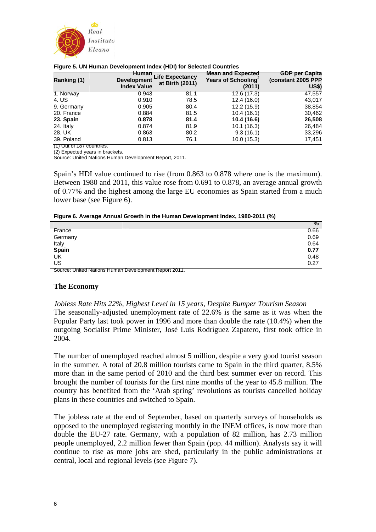

| . .         |                                                          |                                           |                                                          |                                                             |
|-------------|----------------------------------------------------------|-------------------------------------------|----------------------------------------------------------|-------------------------------------------------------------|
| Ranking (1) | <b>Human</b><br><b>Development</b><br><b>Index Value</b> | <b>Life Expectancy</b><br>at Birth (2011) | <b>Mean and Expected</b><br>Years of Schooling<br>(2011) | <b>GDP per Capita</b><br>(constant 2005 PPP<br><b>US\$)</b> |
| 1. Norway   | 0.943                                                    | 81.1                                      | 12.6 (17.3)                                              | 47,557                                                      |
| 4. US       | 0.910                                                    | 78.5                                      | 12.4(16.0)                                               | 43,017                                                      |
| 9. Germany  | 0.905                                                    | 80.4                                      | 12.2 (15.9)                                              | 38,854                                                      |
| 20. France  | 0.884                                                    | 81.5                                      | 10.4(16.1)                                               | 30,462                                                      |
| 23. Spain   | 0.878                                                    | 81.4                                      | 10.4 (16.6)                                              | 26,508                                                      |
| 24. Italy   | 0.874                                                    | 81.9                                      | 10.1(16.3)                                               | 26,484                                                      |
| 28. UK      | 0.863                                                    | 80.2                                      | 9.3(16.1)                                                | 33,296                                                      |
| 39. Poland  | 0.813                                                    | 76.1                                      | 10.0(15.3)                                               | 17,451                                                      |
|             |                                                          |                                           |                                                          |                                                             |

#### **Figure 5. UN Human Development Index (HDI) for Selected Countries**

(1) Out of 187 countries. (2) Expected years in brackets.

Source: United Nations Human Development Report, 2011.

Spain's HDI value continued to rise (from 0.863 to 0.878 where one is the maximum). Between 1980 and 2011, this value rose from 0.691 to 0.878, an average annual growth of 0.77% and the highest among the large EU economies as Spain started from a much lower base (see Figure 6).

|  | Figure 6. Average Annual Growth in the Human Development Index, 1980-2011 (%) |  |
|--|-------------------------------------------------------------------------------|--|
|  |                                                                               |  |

|                                                       | $\frac{1}{2}$ |
|-------------------------------------------------------|---------------|
| France                                                | 0.66          |
| Germany                                               | 0.69          |
| Italy                                                 | 0.64          |
| Spain                                                 | 0.77          |
| UK                                                    | 0.48          |
| US                                                    | 0.27          |
| Source: United Nations Human Development Report 2011. |               |

#### **The Economy**

*Jobless Rate Hits 22%, Highest Level in 15 years, Despite Bumper Tourism Season*  The seasonally-adjusted unemployment rate of 22.6% is the same as it was when the Popular Party last took power in 1996 and more than double the rate (10.4%) when the outgoing Socialist Prime Minister, José Luis Rodríguez Zapatero, first took office in 2004.

The number of unemployed reached almost 5 million, despite a very good tourist season in the summer. A total of 20.8 million tourists came to Spain in the third quarter, 8.5% more than in the same period of 2010 and the third best summer ever on record. This brought the number of tourists for the first nine months of the year to 45.8 million. The country has benefited from the 'Arab spring' revolutions as tourists cancelled holiday plans in these countries and switched to Spain.

The jobless rate at the end of September, based on quarterly surveys of households as opposed to the unemployed registering monthly in the INEM offices, is now more than double the EU-27 rate. Germany, with a population of 82 million, has 2.73 million people unemployed, 2.2 million fewer than Spain (pop. 44 million). Analysts say it will continue to rise as more jobs are shed, particularly in the public administrations at central, local and regional levels (see Figure 7).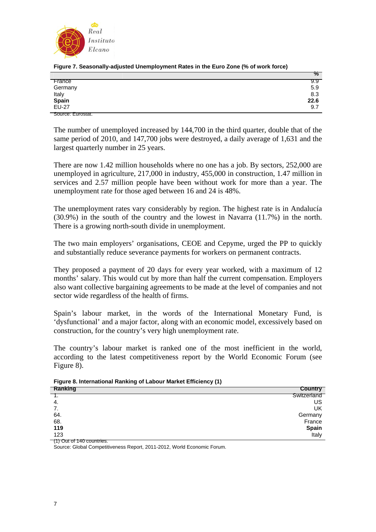

| Figure 7. Seasonally-adjusted Unemployment Rates in the Euro Zone (% of work force) |  |
|-------------------------------------------------------------------------------------|--|
|                                                                                     |  |

|                   | $\frac{1}{2}$ |
|-------------------|---------------|
| France            | 9.9           |
| Germany           | 5.9           |
| Italy             | 8.3           |
| Spain<br>EU-27    | 22.6          |
|                   | 9.7           |
| Source: Eurostat. |               |

The number of unemployed increased by 144,700 in the third quarter, double that of the same period of 2010, and 147,700 jobs were destroyed, a daily average of 1,631 and the largest quarterly number in 25 years.

There are now 1.42 million households where no one has a job. By sectors, 252,000 are unemployed in agriculture, 217,000 in industry, 455,000 in construction, 1.47 million in services and 2.57 million people have been without work for more than a year. The unemployment rate for those aged between 16 and 24 is 48%.

The unemployment rates vary considerably by region. The highest rate is in Andalucía (30.9%) in the south of the country and the lowest in Navarra (11.7%) in the north. There is a growing north-south divide in unemployment.

The two main employers' organisations, CEOE and Cepyme, urged the PP to quickly and substantially reduce severance payments for workers on permanent contracts.

They proposed a payment of 20 days for every year worked, with a maximum of 12 months' salary. This would cut by more than half the current compensation. Employers also want collective bargaining agreements to be made at the level of companies and not sector wide regardless of the health of firms.

Spain's labour market, in the words of the International Monetary Fund, is 'dysfunctional' and a major factor, along with an economic model, excessively based on construction, for the country's very high unemployment rate.

The country's labour market is ranked one of the most inefficient in the world, according to the latest competitiveness report by the World Economic Forum (see Figure 8).

**Figure 8. International Ranking of Labour Market Efficiency (1)** 

| Ranking | <b>Country</b> |
|---------|----------------|
|         | Switzerland    |
| -4.     | US             |
| 7.      | UK             |
| 64.     | Germany        |
| 68.     | France         |
| 119     | Spain          |
| 123     | <b>Italy</b>   |
|         |                |

(1) Out of 140 countries.

Source: Global Competitiveness Report, 2011-2012, World Economic Forum.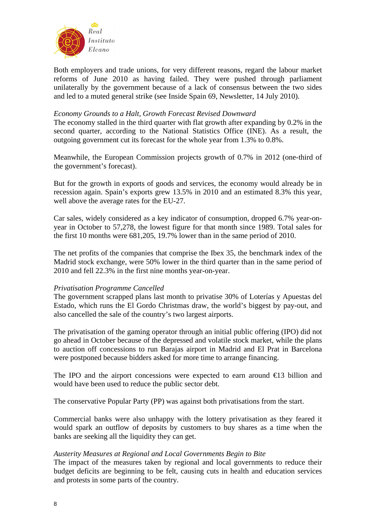

Both employers and trade unions, for very different reasons, regard the labour market reforms of June 2010 as having failed. They were pushed through parliament unilaterally by the government because of a lack of consensus between the two sides and led to a muted general strike (see Inside Spain 69, Newsletter, 14 July 2010).

### *Economy Grounds to a Halt, Growth Forecast Revised Downward*

The economy stalled in the third quarter with flat growth after expanding by 0.2% in the second quarter, according to the National Statistics Office (INE). As a result, the outgoing government cut its forecast for the whole year from 1.3% to 0.8%.

Meanwhile, the European Commission projects growth of 0.7% in 2012 (one-third of the government's forecast).

But for the growth in exports of goods and services, the economy would already be in recession again. Spain's exports grew 13.5% in 2010 and an estimated 8.3% this year, well above the average rates for the EU-27.

Car sales, widely considered as a key indicator of consumption, dropped 6.7% year-onyear in October to 57,278, the lowest figure for that month since 1989. Total sales for the first 10 months were 681,205, 19.7% lower than in the same period of 2010.

The net profits of the companies that comprise the Ibex 35, the benchmark index of the Madrid stock exchange, were 50% lower in the third quarter than in the same period of 2010 and fell 22.3% in the first nine months year-on-year.

## *Privatisation Programme Cancelled*

The government scrapped plans last month to privatise 30% of Loterías y Apuestas del Estado, which runs the El Gordo Christmas draw, the world's biggest by pay-out, and also cancelled the sale of the country's two largest airports.

The privatisation of the gaming operator through an initial public offering (IPO) did not go ahead in October because of the depressed and volatile stock market, while the plans to auction off concessions to run Barajas airport in Madrid and El Prat in Barcelona were postponed because bidders asked for more time to arrange financing.

The IPO and the airport concessions were expected to earn around  $\epsilon$ 13 billion and would have been used to reduce the public sector debt.

The conservative Popular Party (PP) was against both privatisations from the start.

Commercial banks were also unhappy with the lottery privatisation as they feared it would spark an outflow of deposits by customers to buy shares as a time when the banks are seeking all the liquidity they can get.

## *Austerity Measures at Regional and Local Governments Begin to Bite*

The impact of the measures taken by regional and local governments to reduce their budget deficits are beginning to be felt, causing cuts in health and education services and protests in some parts of the country.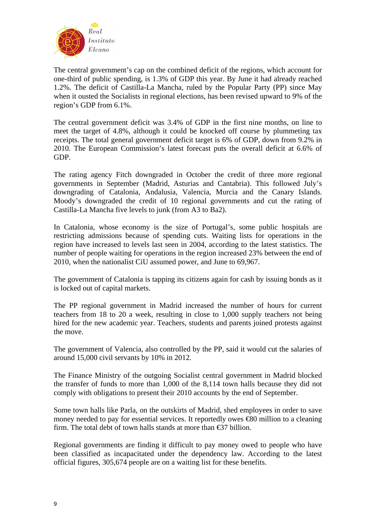

The central government's cap on the combined deficit of the regions, which account for one-third of public spending, is 1.3% of GDP this year. By June it had already reached 1.2%. The deficit of Castilla-La Mancha, ruled by the Popular Party (PP) since May when it ousted the Socialists in regional elections, has been revised upward to 9% of the region's GDP from 6.1%.

The central government deficit was 3.4% of GDP in the first nine months, on line to meet the target of 4.8%, although it could be knocked off course by plummeting tax receipts. The total general government deficit target is 6% of GDP, down from 9.2% in 2010. The European Commission's latest forecast puts the overall deficit at 6.6% of GDP.

The rating agency Fitch downgraded in October the credit of three more regional governments in September (Madrid, Asturias and Cantabria). This followed July's downgrading of Catalonia, Andalusia, Valencia, Murcia and the Canary Islands. Moody's downgraded the credit of 10 regional governments and cut the rating of Castilla-La Mancha five levels to junk (from A3 to Ba2).

In Catalonia, whose economy is the size of Portugal's, some public hospitals are restricting admissions because of spending cuts. Waiting lists for operations in the region have increased to levels last seen in 2004, according to the latest statistics. The number of people waiting for operations in the region increased 23% between the end of 2010, when the nationalist CiU assumed power, and June to 69,967.

The government of Catalonia is tapping its citizens again for cash by issuing bonds as it is locked out of capital markets.

The PP regional government in Madrid increased the number of hours for current teachers from 18 to 20 a week, resulting in close to 1,000 supply teachers not being hired for the new academic year. Teachers, students and parents joined protests against the move.

The government of Valencia, also controlled by the PP, said it would cut the salaries of around 15,000 civil servants by 10% in 2012.

The Finance Ministry of the outgoing Socialist central government in Madrid blocked the transfer of funds to more than 1,000 of the 8,114 town halls because they did not comply with obligations to present their 2010 accounts by the end of September.

Some town halls like Parla, on the outskirts of Madrid, shed employees in order to save money needed to pay for essential services. It reportedly owes <del>€</del>80 million to a cleaning firm. The total debt of town halls stands at more than  $\epsilon$ 37 billion.

Regional governments are finding it difficult to pay money owed to people who have been classified as incapacitated under the dependency law. According to the latest official figures, 305,674 people are on a waiting list for these benefits.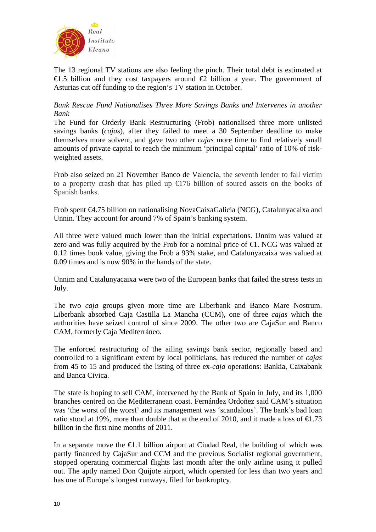

The 13 regional TV stations are also feeling the pinch. Their total debt is estimated at €1.5 billion and they cost taxpayers around €2 billion a year. The government of Asturias cut off funding to the region's TV station in October.

## *Bank Rescue Fund Nationalises Three More Savings Banks and Intervenes in another Bank*

The Fund for Orderly Bank Restructuring (Frob) nationalised three more unlisted savings banks (*cajas*), after they failed to meet a 30 September deadline to make themselves more solvent, and gave two other *cajas* more time to find relatively small amounts of private capital to reach the minimum 'principal capital' ratio of 10% of riskweighted assets.

Frob also seized on 21 November Banco de Valencia, the seventh lender to fall victim to a property crash that has piled up  $E$ 176 billion of soured assets on the books of Spanish banks.

Frob spent €4.75 billion on nationalising NovaCaixaGalicia (NCG), Catalunyacaixa and Unnin. They account for around 7% of Spain's banking system.

All three were valued much lower than the initial expectations. Unnim was valued at zero and was fully acquired by the Frob for a nominal price of  $\epsilon$ . NCG was valued at 0.12 times book value, giving the Frob a 93% stake, and Catalunyacaixa was valued at 0.09 times and is now 90% in the hands of the state.

Unnim and Catalunyacaixa were two of the European banks that failed the stress tests in July.

The two *caja* groups given more time are Liberbank and Banco Mare Nostrum. Liberbank absorbed Caja Castilla La Mancha (CCM), one of three *cajas* which the authorities have seized control of since 2009. The other two are CajaSur and Banco CAM, formerly Caja Mediterráneo.

The enforced restructuring of the ailing savings bank sector, regionally based and controlled to a significant extent by local politicians, has reduced the number of *cajas*  from 45 to 15 and produced the listing of three ex-*caja* operations: Bankia, Caixabank and Banca Civica.

The state is hoping to sell CAM, intervened by the Bank of Spain in July, and its 1,000 branches centred on the Mediterranean coast. Fernández Ordoñez said CAM's situation was 'the worst of the worst' and its management was 'scandalous'. The bank's bad loan ratio stood at 19%, more than double that at the end of 2010, and it made a loss of  $\bigoplus$  73 billion in the first nine months of 2011.

In a separate move the  $\epsilon 1$ . billion airport at Ciudad Real, the building of which was partly financed by CajaSur and CCM and the previous Socialist regional government, stopped operating commercial flights last month after the only airline using it pulled out. The aptly named Don Quijote airport, which operated for less than two years and has one of Europe's longest runways, filed for bankruptcy.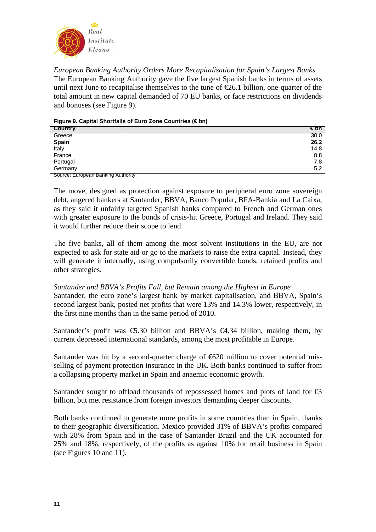

*European Banking Authority Orders More Recapitalisation for Spain's Largest Banks*  The European Banking Authority gave the five largest Spanish banks in terms of assets until next June to recapitalise themselves to the tune of  $E$ 6.1 billion, one-quarter of the total amount in new capital demanded of 70 EU banks, or face restrictions on dividends and bonuses (see Figure 9).

**Figure 9. Capital Shortfalls of Euro Zone Countries (€ bn)** 

| <b>Country</b>                      | €bn  |
|-------------------------------------|------|
| Greece                              | 30.0 |
| <b>Spain</b>                        | 26.2 |
| Italy                               | 14.8 |
| France                              | 8.8  |
| Portugal                            | 7.8  |
| Germany                             | 5.2  |
| Source: European Banking Authority. |      |

The move, designed as protection against exposure to peripheral euro zone sovereign debt, angered bankers at Santander, BBVA, Banco Popular, BFA-Bankia and La Caixa, as they said it unfairly targeted Spanish banks compared to French and German ones with greater exposure to the bonds of crisis-hit Greece, Portugal and Ireland. They said it would further reduce their scope to lend.

The five banks, all of them among the most solvent institutions in the EU, are not expected to ask for state aid or go to the markets to raise the extra capital. Instead, they will generate it internally, using compulsorily convertible bonds, retained profits and other strategies.

# *Santander and BBVA's Profits Fall, but Remain among the Highest in Europe*

Santander, the euro zone's largest bank by market capitalisation, and BBVA, Spain's second largest bank, posted net profits that were 13% and 14.3% lower, respectively, in the first nine months than in the same period of 2010.

Santander's profit was  $\epsilon$ 5.30 billion and BBVA's  $\epsilon$ 4.34 billion, making them, by current depressed international standards, among the most profitable in Europe.

Santander was hit by a second-quarter charge of  $\bigoplus$  20 million to cover potential misselling of payment protection insurance in the UK. Both banks continued to suffer from a collapsing property market in Spain and anaemic economic growth.

Santander sought to offload thousands of repossessed homes and plots of land for  $\bigoplus$ billion, but met resistance from foreign investors demanding deeper discounts.

Both banks continued to generate more profits in some countries than in Spain, thanks to their geographic diversification. Mexico provided 31% of BBVA's profits compared with 28% from Spain and in the case of Santander Brazil and the UK accounted for 25% and 18%, respectively, of the profits as against 10% for retail business in Spain (see Figures 10 and 11).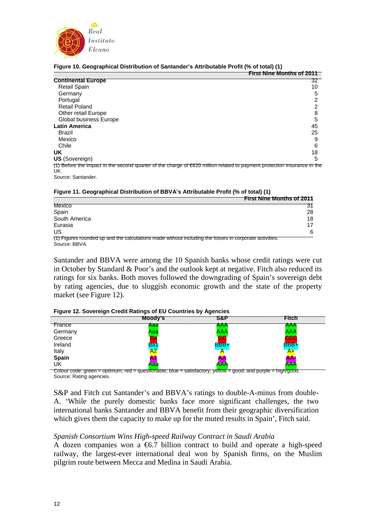

|                            | <b>First Nine Months of 2011</b>                                                                                         |
|----------------------------|--------------------------------------------------------------------------------------------------------------------------|
| <b>Continental Europe</b>  | 32                                                                                                                       |
| <b>Retail Spain</b>        | 10                                                                                                                       |
| Germany                    | 5                                                                                                                        |
| Portugal                   |                                                                                                                          |
| <b>Retail Poland</b>       |                                                                                                                          |
| <b>Other retail Europe</b> | 8                                                                                                                        |
| Global business Europe     | 5                                                                                                                        |
| <b>Latin America</b>       | 45                                                                                                                       |
| Brazil                     | 25                                                                                                                       |
| Mexico                     | 9                                                                                                                        |
| Chile                      | 6                                                                                                                        |
| UK                         | 18                                                                                                                       |
| <b>US</b> (Sovereign)      | 5                                                                                                                        |
| UK.                        | (1) Before the impact in the second quarter of the charge of €620 million related to payment protection insurance in the |
| Source: Santander.         |                                                                                                                          |

#### **Figure 10. Geographical Distribution of Santander's Attributable Profit (% of total) (1)**

|  |  | Figure 11. Geographical Distribution of BBVA's Attributable Profit (% of total) (1) |  |
|--|--|-------------------------------------------------------------------------------------|--|
|  |  |                                                                                     |  |

|                                                                                                                         | <b>First Nine Months of 2011</b> |
|-------------------------------------------------------------------------------------------------------------------------|----------------------------------|
| Mexico                                                                                                                  | 31                               |
| Spain                                                                                                                   | 28                               |
| South America                                                                                                           | 18                               |
| Eurasia                                                                                                                 | 17                               |
| US                                                                                                                      | 6                                |
| (1) Figures rounded up and the calculations made without including the losses in corporate activities.<br>Source: BBVA. |                                  |

Santander and BBVA were among the 10 Spanish banks whose credit ratings were cut in October by Standard & Poor's and the outlook kept at negative. Fitch also reduced its ratings for six banks. Both moves followed the downgrading of Spain's sovereign debt by rating agencies, due to sluggish economic growth and the state of the property market (see Figure 12).

#### **Figure 12. Sovereign Credit Ratings of EU Countries by Agencies**

|                     | Moody's    | S&P         | <b>Fitch</b>                                                                                                                                                                                                                                 |
|---------------------|------------|-------------|----------------------------------------------------------------------------------------------------------------------------------------------------------------------------------------------------------------------------------------------|
| France              | Aaa        | AAA         | AAA                                                                                                                                                                                                                                          |
| Germany             | Aaa        | <b>AAA</b>  | AAA                                                                                                                                                                                                                                          |
| Greece              | ta         | <b>CC</b>   | <b>CCC</b>                                                                                                                                                                                                                                   |
| Ireland             | <b>Ba1</b> | <b>BBB+</b> | <b>BBB+</b>                                                                                                                                                                                                                                  |
| Italy               | A2         |             | $A+$                                                                                                                                                                                                                                         |
| Spain               | A1         | AA          | <b>AA</b>                                                                                                                                                                                                                                    |
| UK<br>$\sim$ $\sim$ | Aaa        | <b>AAA</b>  | <b>AAA</b><br>and the second state of the local division in the second state of the second state of the second state of the second state in the second state in the second state in the second state in the second state in the second state |

Colour code: green = optimum; red = questionable; blue = satisfactory; yellow = good; and purple = high/good. Source: Rating agencies.

S&P and Fitch cut Santander's and BBVA's ratings to double-A-minus from double-A. 'While the purely domestic banks face more significant challenges, the two international banks Santander and BBVA benefit from their geographic diversification which gives them the capacity to make up for the muted results in Spain'. Fitch said.

#### *Spanish Consortium Wins High-speed Railway Contract in Saudi Arabia*

A dozen companies won a  $6.7$  billion contract to build and operate a high-speed railway, the largest-ever international deal won by Spanish firms, on the Muslim pilgrim route between Mecca and Medina in Saudi Arabia.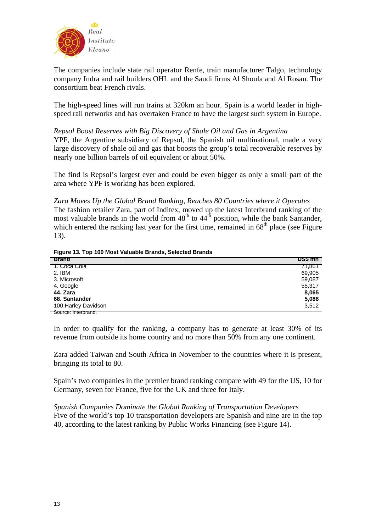

The companies include state rail operator Renfe, train manufacturer Talgo, technology company Indra and rail builders OHL and the Saudi firms Al Shoula and Al Rosan. The consortium beat French rivals.

The high-speed lines will run trains at 320km an hour. Spain is a world leader in highspeed rail networks and has overtaken France to have the largest such system in Europe.

## *Repsol Boost Reserves with Big Discovery of Shale Oil and Gas in Argentina*

YPF, the Argentine subsidiary of Repsol, the Spanish oil multinational, made a very large discovery of shale oil and gas that boosts the group's total recoverable reserves by nearly one billion barrels of oil equivalent or about 50%.

The find is Repsol's largest ever and could be even bigger as only a small part of the area where YPF is working has been explored.

*Zara Moves Up the Global Brand Ranking, Reaches 80 Countries where it Operates*  The fashion retailer Zara, part of Inditex, moved up the latest Interbrand ranking of the most valuable brands in the world from  $48<sup>th</sup>$  to  $44<sup>th</sup>$  position, while the bank Santander, which entered the ranking last year for the first time, remained in  $68<sup>th</sup>$  place (see Figure 13).

**Figure 13. Top 100 Most Valuable Brands, Selected Brands** 

| <b>Brand</b>         | <u>US\$ mn</u> |
|----------------------|----------------|
| 1. Coca Cola         | 71,861         |
| 2. IBM               | 69,905         |
| 3. Microsoft         | 59,087         |
| 4. Google            | 55,317         |
| 44. Zara             | 8,065          |
| 68. Santander        | 5,088          |
| 100. Harley Davidson | 3,512          |
| Source: Interbrand.  |                |

In order to qualify for the ranking, a company has to generate at least 30% of its revenue from outside its home country and no more than 50% from any one continent.

Zara added Taiwan and South Africa in November to the countries where it is present, bringing its total to 80.

Spain's two companies in the premier brand ranking compare with 49 for the US, 10 for Germany, seven for France, five for the UK and three for Italy.

*Spanish Companies Dominate the Global Ranking of Transportation Developers*  Five of the world's top 10 transportation developers are Spanish and nine are in the top 40, according to the latest ranking by Public Works Financing (see Figure 14).